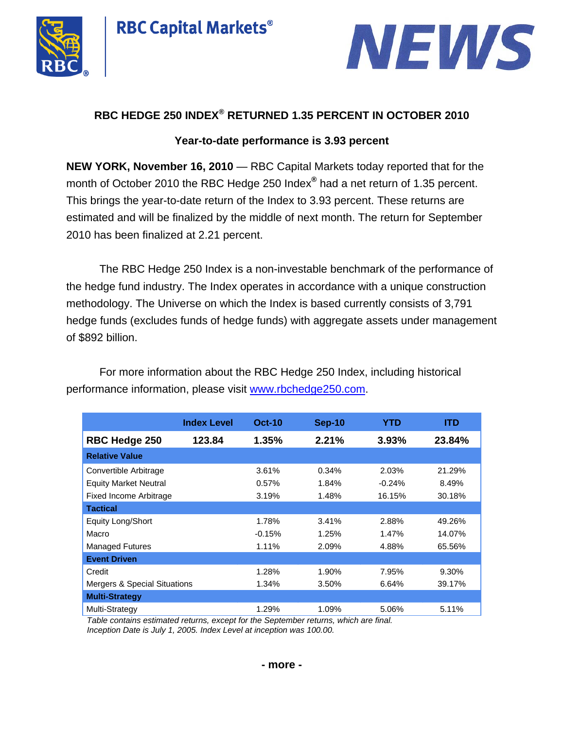



# **RBC HEDGE 250 INDEX® RETURNED 1.35 PERCENT IN OCTOBER 2010**

**RBC Capital Markets®** 

# **Year-to-date performance is 3.93 percent**

**NEW YORK, November 16, 2010** — RBC Capital Markets today reported that for the month of October 2010 the RBC Hedge 250 Index**®** had a net return of 1.35 percent. This brings the year-to-date return of the Index to 3.93 percent. These returns are estimated and will be finalized by the middle of next month. The return for September 2010 has been finalized at 2.21 percent.

The RBC Hedge 250 Index is a non-investable benchmark of the performance of the hedge fund industry. The Index operates in accordance with a unique construction methodology. The Universe on which the Index is based currently consists of 3,791 hedge funds (excludes funds of hedge funds) with aggregate assets under management of \$892 billion.

For more information about the RBC Hedge 250 Index, including historical performance information, please visit www.rbchedge250.com.

|                                         | <b>Index Level</b> | $Oct-10$ | Sep-10 | YTD      | ITD    |
|-----------------------------------------|--------------------|----------|--------|----------|--------|
| <b>RBC Hedge 250</b>                    | 123.84             | $1.35\%$ | 2.21%  | 3.93%    | 23.84% |
| <b>Relative Value</b>                   |                    |          |        |          |        |
| Convertible Arbitrage                   |                    | 3.61%    | 0.34%  | 2.03%    | 21.29% |
| <b>Equity Market Neutral</b>            |                    | 0.57%    | 1.84%  | $-0.24%$ | 8.49%  |
| <b>Fixed Income Arbitrage</b>           |                    | 3.19%    | 1.48%  | 16.15%   | 30.18% |
| <b>Tactical</b>                         |                    |          |        |          |        |
| <b>Equity Long/Short</b>                |                    | 1.78%    | 3.41%  | 2.88%    | 49.26% |
| Macro                                   |                    | $-0.15%$ | 1.25%  | 1.47%    | 14.07% |
| <b>Managed Futures</b>                  |                    | 1.11%    | 2.09%  | 4.88%    | 65.56% |
| <b>Event Driven</b>                     |                    |          |        |          |        |
| Credit                                  |                    | 1.28%    | 1.90%  | 7.95%    | 9.30%  |
| <b>Mergers &amp; Special Situations</b> |                    | 1.34%    | 3.50%  | 6.64%    | 39.17% |
| <b>Multi-Strategy</b>                   |                    |          |        |          |        |
| Multi-Strategy                          |                    | 1.29%    | 1.09%  | 5.06%    | 5.11%  |

*Table contains estimated returns, except for the September returns, which are final.*